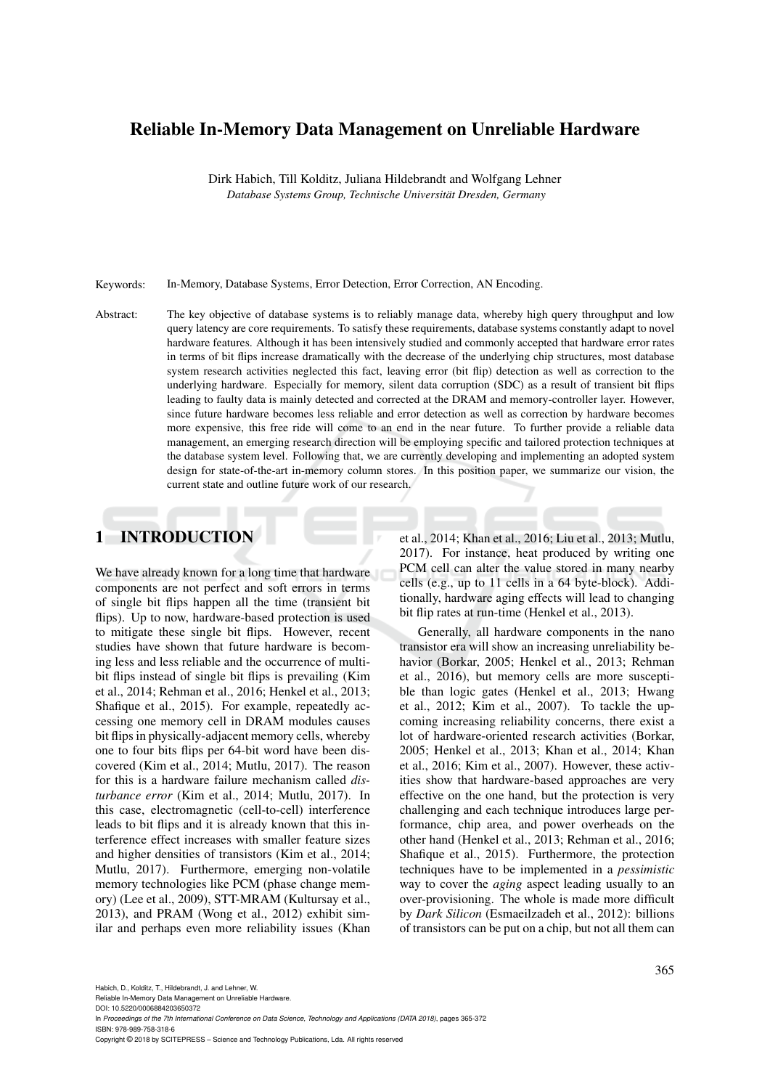# Reliable In-Memory Data Management on Unreliable Hardware

Dirk Habich, Till Kolditz, Juliana Hildebrandt and Wolfgang Lehner *Database Systems Group, Technische Universitat Dresden, Germany ¨*

Keywords: In-Memory, Database Systems, Error Detection, Error Correction, AN Encoding.

Abstract: The key objective of database systems is to reliably manage data, whereby high query throughput and low query latency are core requirements. To satisfy these requirements, database systems constantly adapt to novel hardware features. Although it has been intensively studied and commonly accepted that hardware error rates in terms of bit flips increase dramatically with the decrease of the underlying chip structures, most database system research activities neglected this fact, leaving error (bit flip) detection as well as correction to the underlying hardware. Especially for memory, silent data corruption (SDC) as a result of transient bit flips leading to faulty data is mainly detected and corrected at the DRAM and memory-controller layer. However, since future hardware becomes less reliable and error detection as well as correction by hardware becomes more expensive, this free ride will come to an end in the near future. To further provide a reliable data management, an emerging research direction will be employing specific and tailored protection techniques at the database system level. Following that, we are currently developing and implementing an adopted system design for state-of-the-art in-memory column stores. In this position paper, we summarize our vision, the current state and outline future work of our research.

# 1 INTRODUCTION

We have already known for a long time that hardware components are not perfect and soft errors in terms of single bit flips happen all the time (transient bit flips). Up to now, hardware-based protection is used to mitigate these single bit flips. However, recent studies have shown that future hardware is becoming less and less reliable and the occurrence of multibit flips instead of single bit flips is prevailing (Kim et al., 2014; Rehman et al., 2016; Henkel et al., 2013; Shafique et al., 2015). For example, repeatedly accessing one memory cell in DRAM modules causes bit flips in physically-adjacent memory cells, whereby one to four bits flips per 64-bit word have been discovered (Kim et al., 2014; Mutlu, 2017). The reason for this is a hardware failure mechanism called *disturbance error* (Kim et al., 2014; Mutlu, 2017). In this case, electromagnetic (cell-to-cell) interference leads to bit flips and it is already known that this interference effect increases with smaller feature sizes and higher densities of transistors (Kim et al., 2014; Mutlu, 2017). Furthermore, emerging non-volatile memory technologies like PCM (phase change memory) (Lee et al., 2009), STT-MRAM (Kultursay et al., 2013), and PRAM (Wong et al., 2012) exhibit similar and perhaps even more reliability issues (Khan

et al., 2014; Khan et al., 2016; Liu et al., 2013; Mutlu, 2017). For instance, heat produced by writing one PCM cell can alter the value stored in many nearby cells (e.g., up to 11 cells in a 64 byte-block). Additionally, hardware aging effects will lead to changing bit flip rates at run-time (Henkel et al., 2013).

Generally, all hardware components in the nano transistor era will show an increasing unreliability behavior (Borkar, 2005; Henkel et al., 2013; Rehman et al., 2016), but memory cells are more susceptible than logic gates (Henkel et al., 2013; Hwang et al., 2012; Kim et al., 2007). To tackle the upcoming increasing reliability concerns, there exist a lot of hardware-oriented research activities (Borkar, 2005; Henkel et al., 2013; Khan et al., 2014; Khan et al., 2016; Kim et al., 2007). However, these activities show that hardware-based approaches are very effective on the one hand, but the protection is very challenging and each technique introduces large performance, chip area, and power overheads on the other hand (Henkel et al., 2013; Rehman et al., 2016; Shafique et al., 2015). Furthermore, the protection techniques have to be implemented in a *pessimistic* way to cover the *aging* aspect leading usually to an over-provisioning. The whole is made more difficult by *Dark Silicon* (Esmaeilzadeh et al., 2012): billions of transistors can be put on a chip, but not all them can

Reliable In-Memory Data Management on Unreliable Hardware.

DOI: 10.5220/0006884203650372

In *Proceedings of the 7th International Conference on Data Science, Technology and Applications (DATA 2018)*, pages 365-372 ISBN: 978-989-758-318-6

Copyright © 2018 by SCITEPRESS – Science and Technology Publications, Lda. All rights reserved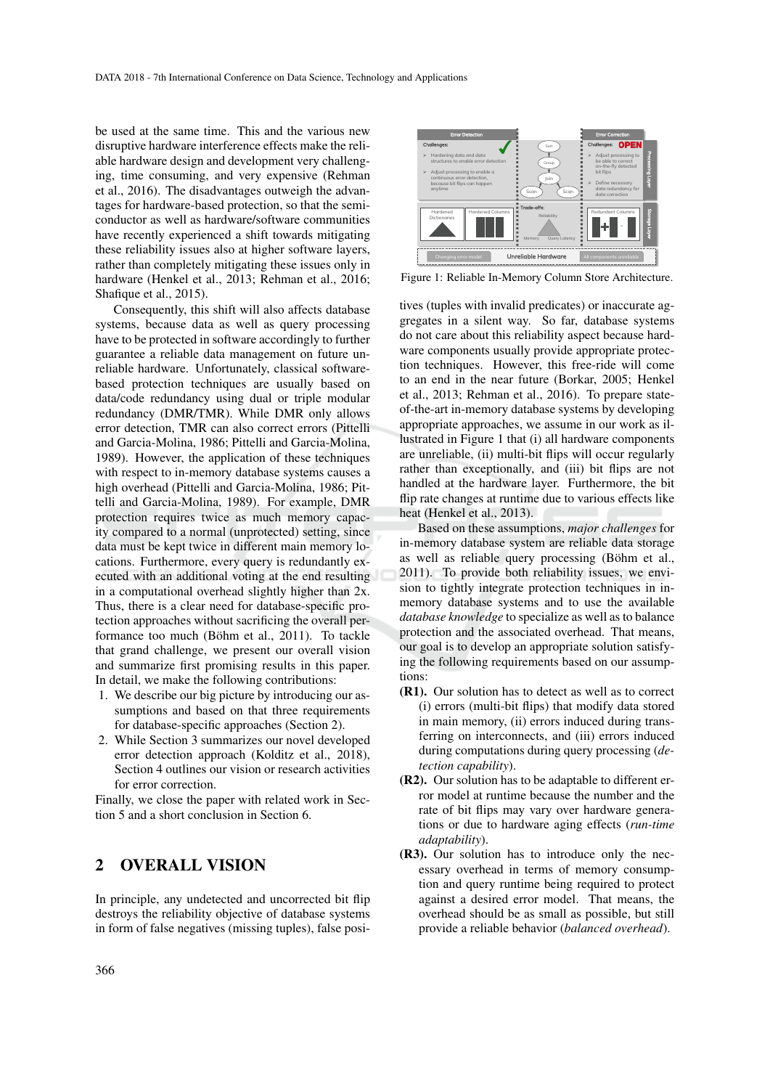be used at the same time. This and the various new disruptive hardware interference effects make the reliable hardware design and development very challenging, time consuming, and very expensive (Rehman et al., 2016). The disadvantages outweigh the advantages for hardware-based protection, so that the semiconductor as well as hardware/software communities have recently experienced a shift towards mitigating these reliability issues also at higher software layers, rather than completely mitigating these issues only in hardware (Henkel et al., 2013; Rehman et al., 2016; Shafique et al., 2015).

Consequently, this shift will also affects database systems, because data as well as query processing have to be protected in software accordingly to further guarantee a reliable data management on future unreliable hardware. Unfortunately, classical softwarebased protection techniques are usually based on data/code redundancy using dual or triple modular redundancy (DMR/TMR). While DMR only allows error detection, TMR can also correct errors (Pittelli and Garcia-Molina, 1986; Pittelli and Garcia-Molina, 1989). However, the application of these techniques with respect to in-memory database systems causes a high overhead (Pittelli and Garcia-Molina, 1986; Pittelli and Garcia-Molina, 1989). For example, DMR protection requires twice as much memory capacity compared to a normal (unprotected) setting, since data must be kept twice in different main memory locations. Furthermore, every query is redundantly executed with an additional voting at the end resulting in a computational overhead slightly higher than 2x. Thus, there is a clear need for database-specific protection approaches without sacrificing the overall performance too much (Böhm et al., 2011). To tackle that grand challenge, we present our overall vision and summarize first promising results in this paper. In detail, we make the following contributions:

- 1. We describe our big picture by introducing our assumptions and based on that three requirements for database-specific approaches (Section 2).
- 2. While Section 3 summarizes our novel developed error detection approach (Kolditz et al., 2018), Section 4 outlines our vision or research activities for error correction.

Finally, we close the paper with related work in Section 5 and a short conclusion in Section 6.

# 2 OVERALL VISION

In principle, any undetected and uncorrected bit flip destroys the reliability objective of database systems in form of false negatives (missing tuples), false posi-



Figure 1: Reliable In-Memory Column Store Architecture.

tives (tuples with invalid predicates) or inaccurate aggregates in a silent way. So far, database systems do not care about this reliability aspect because hardware components usually provide appropriate protection techniques. However, this free-ride will come to an end in the near future (Borkar, 2005; Henkel et al., 2013; Rehman et al., 2016). To prepare stateof-the-art in-memory database systems by developing appropriate approaches, we assume in our work as illustrated in Figure 1 that (i) all hardware components are unreliable, (ii) multi-bit flips will occur regularly rather than exceptionally, and (iii) bit flips are not handled at the hardware layer. Furthermore, the bit flip rate changes at runtime due to various effects like heat (Henkel et al., 2013).

Based on these assumptions, *major challenges* for in-memory database system are reliable data storage as well as reliable query processing (Böhm et al., 2011). To provide both reliability issues, we envision to tightly integrate protection techniques in inmemory database systems and to use the available *database knowledge* to specialize as well as to balance protection and the associated overhead. That means, our goal is to develop an appropriate solution satisfying the following requirements based on our assumptions:

- (R1). Our solution has to detect as well as to correct (i) errors (multi-bit flips) that modify data stored in main memory, (ii) errors induced during transferring on interconnects, and (iii) errors induced during computations during query processing (*detection capability*).
- (R2). Our solution has to be adaptable to different error model at runtime because the number and the rate of bit flips may vary over hardware generations or due to hardware aging effects (*run-time adaptability*).
- (R3). Our solution has to introduce only the necessary overhead in terms of memory consumption and query runtime being required to protect against a desired error model. That means, the overhead should be as small as possible, but still provide a reliable behavior (*balanced overhead*).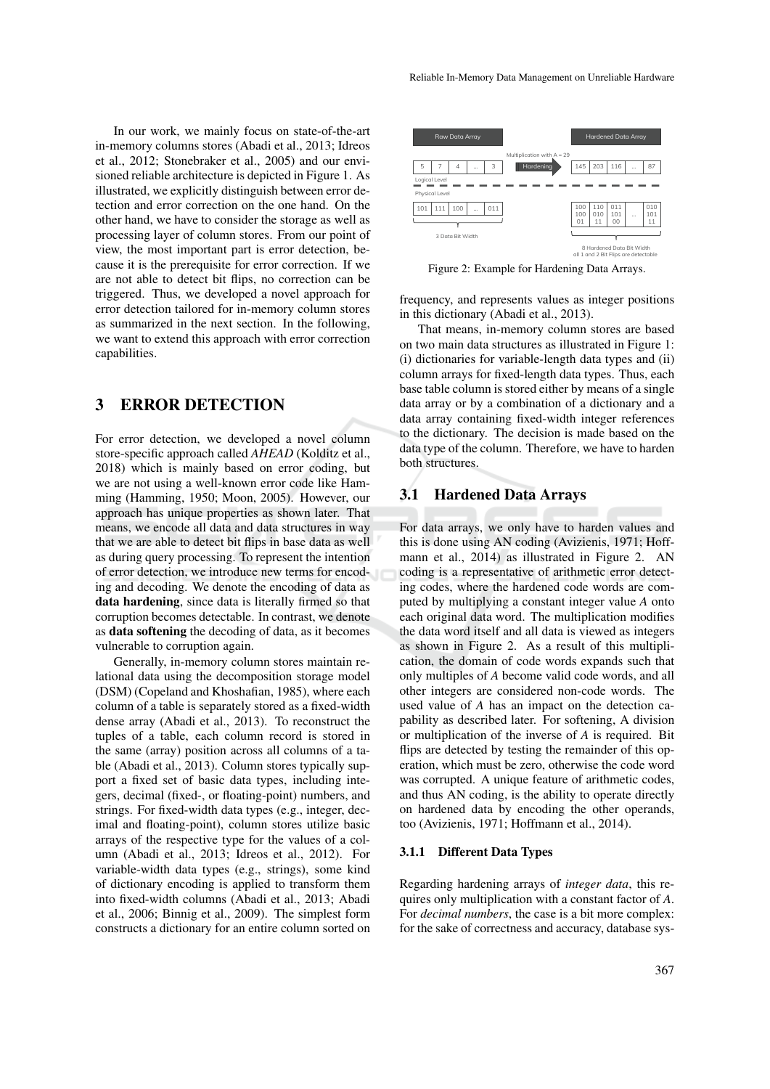In our work, we mainly focus on state-of-the-art in-memory columns stores (Abadi et al., 2013; Idreos et al., 2012; Stonebraker et al., 2005) and our envisioned reliable architecture is depicted in Figure 1. As illustrated, we explicitly distinguish between error detection and error correction on the one hand. On the other hand, we have to consider the storage as well as processing layer of column stores. From our point of view, the most important part is error detection, because it is the prerequisite for error correction. If we are not able to detect bit flips, no correction can be triggered. Thus, we developed a novel approach for error detection tailored for in-memory column stores as summarized in the next section. In the following, we want to extend this approach with error correction capabilities.

# 3 ERROR DETECTION

For error detection, we developed a novel column store-specific approach called *AHEAD* (Kolditz et al., 2018) which is mainly based on error coding, but we are not using a well-known error code like Hamming (Hamming, 1950; Moon, 2005). However, our approach has unique properties as shown later. That means, we encode all data and data structures in way that we are able to detect bit flips in base data as well as during query processing. To represent the intention of error detection, we introduce new terms for encoding and decoding. We denote the encoding of data as data hardening, since data is literally firmed so that corruption becomes detectable. In contrast, we denote as data softening the decoding of data, as it becomes vulnerable to corruption again.

Generally, in-memory column stores maintain relational data using the decomposition storage model (DSM) (Copeland and Khoshafian, 1985), where each column of a table is separately stored as a fixed-width dense array (Abadi et al., 2013). To reconstruct the tuples of a table, each column record is stored in the same (array) position across all columns of a table (Abadi et al., 2013). Column stores typically support a fixed set of basic data types, including integers, decimal (fixed-, or floating-point) numbers, and strings. For fixed-width data types (e.g., integer, decimal and floating-point), column stores utilize basic arrays of the respective type for the values of a column (Abadi et al., 2013; Idreos et al., 2012). For variable-width data types (e.g., strings), some kind of dictionary encoding is applied to transform them into fixed-width columns (Abadi et al., 2013; Abadi et al., 2006; Binnig et al., 2009). The simplest form constructs a dictionary for an entire column sorted on



Figure 2: Example for Hardening Data Arrays.

frequency, and represents values as integer positions in this dictionary (Abadi et al., 2013).

That means, in-memory column stores are based on two main data structures as illustrated in Figure 1: (i) dictionaries for variable-length data types and (ii) column arrays for fixed-length data types. Thus, each base table column is stored either by means of a single data array or by a combination of a dictionary and a data array containing fixed-width integer references to the dictionary. The decision is made based on the data type of the column. Therefore, we have to harden both structures.

### 3.1 Hardened Data Arrays

For data arrays, we only have to harden values and this is done using AN coding (Avizienis, 1971; Hoffmann et al., 2014) as illustrated in Figure 2. AN coding is a representative of arithmetic error detecting codes, where the hardened code words are computed by multiplying a constant integer value *A* onto each original data word. The multiplication modifies the data word itself and all data is viewed as integers as shown in Figure 2. As a result of this multiplication, the domain of code words expands such that only multiples of *A* become valid code words, and all other integers are considered non-code words. The used value of *A* has an impact on the detection capability as described later. For softening, A division or multiplication of the inverse of *A* is required. Bit flips are detected by testing the remainder of this operation, which must be zero, otherwise the code word was corrupted. A unique feature of arithmetic codes, and thus AN coding, is the ability to operate directly on hardened data by encoding the other operands, too (Avizienis, 1971; Hoffmann et al., 2014).

#### 3.1.1 Different Data Types

Regarding hardening arrays of *integer data*, this requires only multiplication with a constant factor of *A*. For *decimal numbers*, the case is a bit more complex: for the sake of correctness and accuracy, database sys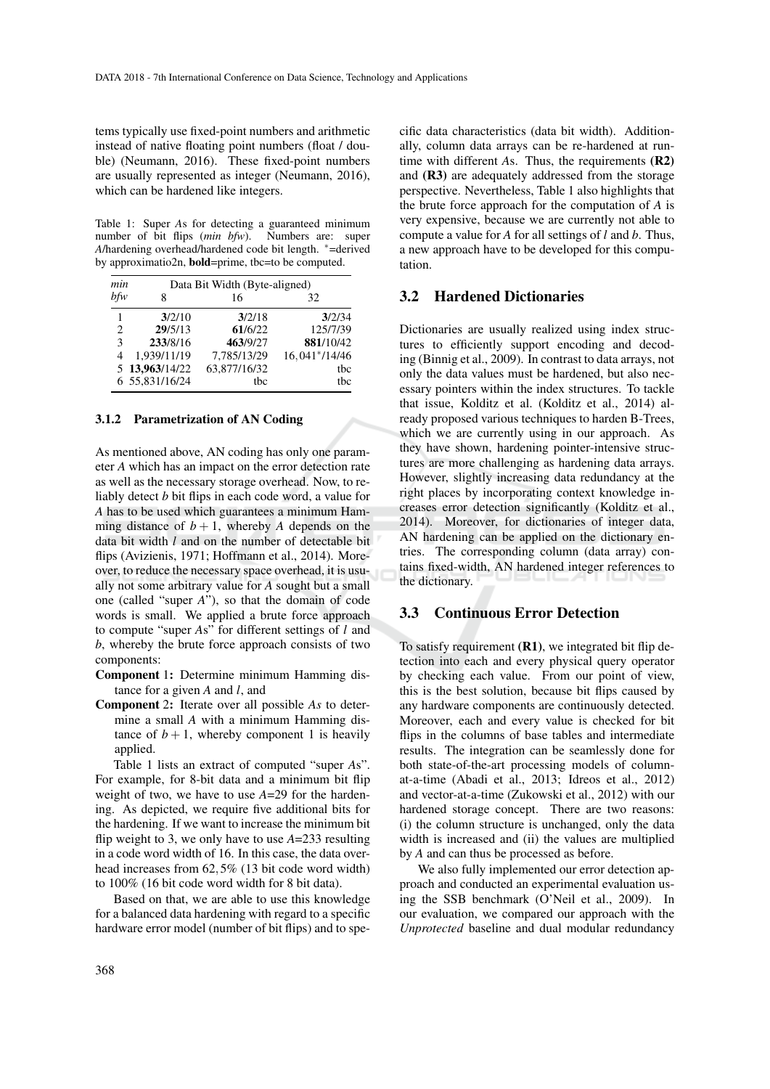tems typically use fixed-point numbers and arithmetic instead of native floating point numbers (float / double) (Neumann, 2016). These fixed-point numbers are usually represented as integer (Neumann, 2016), which can be hardened like integers.

Table 1: Super *A*s for detecting a guaranteed minimum number of bit flips (*min bfw*). Numbers are: super *A*/hardening overhead/hardened code bit length. ∗=derived by approximatio2n, bold=prime, tbc=to be computed.

| min                         | Data Bit Width (Byte-aligned) |              |               |
|-----------------------------|-------------------------------|--------------|---------------|
| bfw                         | 8                             | 16           | 32            |
| 1                           | 3/2/10                        | 3/2/18       | 3/2/34        |
| $\mathcal{D}_{\mathcal{L}}$ | 29/5/13                       | 61/6/22      | 125/7/39      |
| 3                           | 233/8/16                      | 463/9/27     | 881/10/42     |
|                             | 1,939/11/19                   | 7,785/13/29  | 16,041*/14/46 |
|                             | 5 13,963/14/22                | 63,877/16/32 | the           |
|                             | 6 55,831/16/24                | tbc          | the           |

#### 3.1.2 Parametrization of AN Coding

As mentioned above, AN coding has only one parameter *A* which has an impact on the error detection rate as well as the necessary storage overhead. Now, to reliably detect *b* bit flips in each code word, a value for *A* has to be used which guarantees a minimum Hamming distance of  $b + 1$ , whereby *A* depends on the data bit width *l* and on the number of detectable bit flips (Avizienis, 1971; Hoffmann et al., 2014). Moreover, to reduce the necessary space overhead, it is usually not some arbitrary value for *A* sought but a small one (called "super *A*"), so that the domain of code words is small. We applied a brute force approach to compute "super *A*s" for different settings of *l* and *b*, whereby the brute force approach consists of two components:

- Component 1: Determine minimum Hamming distance for a given *A* and *l*, and
- Component 2: Iterate over all possible *As* to determine a small *A* with a minimum Hamming distance of  $b + 1$ , whereby component 1 is heavily applied.

Table 1 lists an extract of computed "super *A*s". For example, for 8-bit data and a minimum bit flip weight of two, we have to use *A*=29 for the hardening. As depicted, we require five additional bits for the hardening. If we want to increase the minimum bit flip weight to 3, we only have to use *A*=233 resulting in a code word width of 16. In this case, the data overhead increases from 62,5% (13 bit code word width) to 100% (16 bit code word width for 8 bit data).

Based on that, we are able to use this knowledge for a balanced data hardening with regard to a specific hardware error model (number of bit flips) and to specific data characteristics (data bit width). Additionally, column data arrays can be re-hardened at runtime with different *A*s. Thus, the requirements (R2) and (R3) are adequately addressed from the storage perspective. Nevertheless, Table 1 also highlights that the brute force approach for the computation of *A* is very expensive, because we are currently not able to compute a value for *A* for all settings of *l* and *b*. Thus, a new approach have to be developed for this computation.

### 3.2 Hardened Dictionaries

Dictionaries are usually realized using index structures to efficiently support encoding and decoding (Binnig et al., 2009). In contrast to data arrays, not only the data values must be hardened, but also necessary pointers within the index structures. To tackle that issue, Kolditz et al. (Kolditz et al., 2014) already proposed various techniques to harden B-Trees, which we are currently using in our approach. As they have shown, hardening pointer-intensive structures are more challenging as hardening data arrays. However, slightly increasing data redundancy at the right places by incorporating context knowledge increases error detection significantly (Kolditz et al., 2014). Moreover, for dictionaries of integer data, AN hardening can be applied on the dictionary entries. The corresponding column (data array) contains fixed-width, AN hardened integer references to the dictionary.

### 3.3 Continuous Error Detection

To satisfy requirement (R1), we integrated bit flip detection into each and every physical query operator by checking each value. From our point of view, this is the best solution, because bit flips caused by any hardware components are continuously detected. Moreover, each and every value is checked for bit flips in the columns of base tables and intermediate results. The integration can be seamlessly done for both state-of-the-art processing models of columnat-a-time (Abadi et al., 2013; Idreos et al., 2012) and vector-at-a-time (Zukowski et al., 2012) with our hardened storage concept. There are two reasons: (i) the column structure is unchanged, only the data width is increased and (ii) the values are multiplied by *A* and can thus be processed as before.

We also fully implemented our error detection approach and conducted an experimental evaluation using the SSB benchmark (O'Neil et al., 2009). In our evaluation, we compared our approach with the *Unprotected* baseline and dual modular redundancy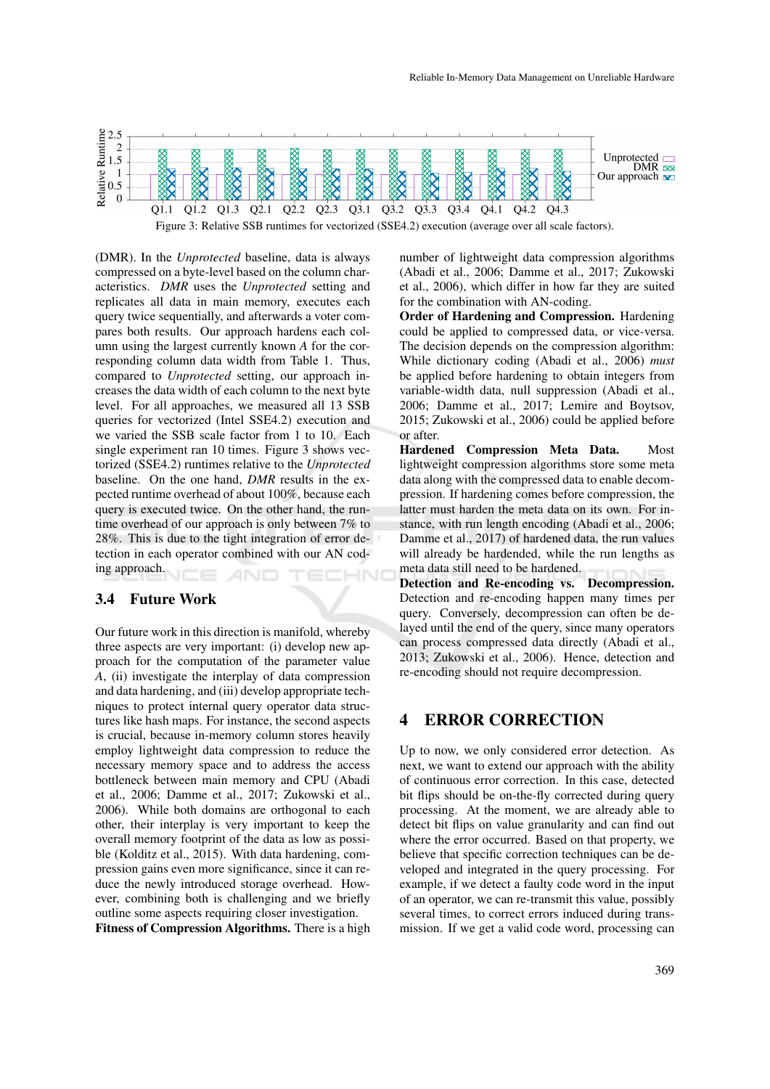

Figure 3: Relative SSB runtimes for vectorized (SSE4.2) execution (average over all scale factors).

(DMR). In the *Unprotected* baseline, data is always compressed on a byte-level based on the column characteristics. *DMR* uses the *Unprotected* setting and replicates all data in main memory, executes each query twice sequentially, and afterwards a voter compares both results. Our approach hardens each column using the largest currently known *A* for the corresponding column data width from Table 1. Thus, compared to *Unprotected* setting, our approach increases the data width of each column to the next byte level. For all approaches, we measured all 13 SSB queries for vectorized (Intel SSE4.2) execution and we varied the SSB scale factor from 1 to 10. Each single experiment ran 10 times. Figure 3 shows vectorized (SSE4.2) runtimes relative to the *Unprotected* baseline. On the one hand, *DMR* results in the expected runtime overhead of about 100%, because each query is executed twice. On the other hand, the runtime overhead of our approach is only between 7% to 28%. This is due to the tight integration of error detection in each operator combined with our AN coding approach.

## 3.4 Future Work

Our future work in this direction is manifold, whereby three aspects are very important: (i) develop new approach for the computation of the parameter value *A*, (ii) investigate the interplay of data compression and data hardening, and (iii) develop appropriate techniques to protect internal query operator data structures like hash maps. For instance, the second aspects is crucial, because in-memory column stores heavily employ lightweight data compression to reduce the necessary memory space and to address the access bottleneck between main memory and CPU (Abadi et al., 2006; Damme et al., 2017; Zukowski et al., 2006). While both domains are orthogonal to each other, their interplay is very important to keep the overall memory footprint of the data as low as possible (Kolditz et al., 2015). With data hardening, compression gains even more significance, since it can reduce the newly introduced storage overhead. However, combining both is challenging and we briefly outline some aspects requiring closer investigation.

Fitness of Compression Algorithms. There is a high

number of lightweight data compression algorithms (Abadi et al., 2006; Damme et al., 2017; Zukowski et al., 2006), which differ in how far they are suited for the combination with AN-coding.

Order of Hardening and Compression. Hardening could be applied to compressed data, or vice-versa. The decision depends on the compression algorithm: While dictionary coding (Abadi et al., 2006) *must* be applied before hardening to obtain integers from variable-width data, null suppression (Abadi et al., 2006; Damme et al., 2017; Lemire and Boytsov, 2015; Zukowski et al., 2006) could be applied before or after.

Hardened Compression Meta Data. Most lightweight compression algorithms store some meta data along with the compressed data to enable decompression. If hardening comes before compression, the latter must harden the meta data on its own. For instance, with run length encoding (Abadi et al., 2006; Damme et al., 2017) of hardened data, the run values will already be hardended, while the run lengths as meta data still need to be hardened.

Detection and Re-encoding vs. Decompression. Detection and re-encoding happen many times per query. Conversely, decompression can often be delayed until the end of the query, since many operators can process compressed data directly (Abadi et al., 2013; Zukowski et al., 2006). Hence, detection and re-encoding should not require decompression.

# 4 ERROR CORRECTION

Up to now, we only considered error detection. As next, we want to extend our approach with the ability of continuous error correction. In this case, detected bit flips should be on-the-fly corrected during query processing. At the moment, we are already able to detect bit flips on value granularity and can find out where the error occurred. Based on that property, we believe that specific correction techniques can be developed and integrated in the query processing. For example, if we detect a faulty code word in the input of an operator, we can re-transmit this value, possibly several times, to correct errors induced during transmission. If we get a valid code word, processing can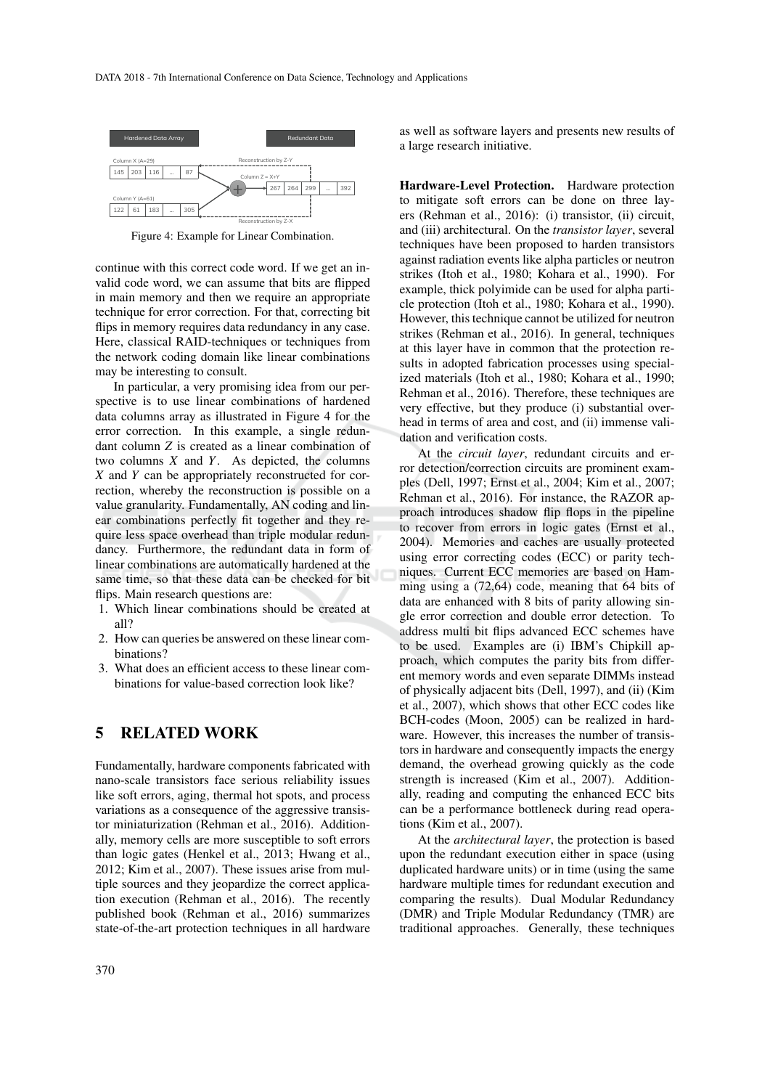

Figure 4: Example for Linear Combination.

continue with this correct code word. If we get an invalid code word, we can assume that bits are flipped in main memory and then we require an appropriate technique for error correction. For that, correcting bit flips in memory requires data redundancy in any case. Here, classical RAID-techniques or techniques from the network coding domain like linear combinations may be interesting to consult.

In particular, a very promising idea from our perspective is to use linear combinations of hardened data columns array as illustrated in Figure 4 for the error correction. In this example, a single redundant column *Z* is created as a linear combination of two columns *X* and *Y*. As depicted, the columns *X* and *Y* can be appropriately reconstructed for correction, whereby the reconstruction is possible on a value granularity. Fundamentally, AN coding and linear combinations perfectly fit together and they require less space overhead than triple modular redundancy. Furthermore, the redundant data in form of linear combinations are automatically hardened at the same time, so that these data can be checked for bit flips. Main research questions are:

- 1. Which linear combinations should be created at all?
- 2. How can queries be answered on these linear combinations?
- 3. What does an efficient access to these linear combinations for value-based correction look like?

## 5 RELATED WORK

Fundamentally, hardware components fabricated with nano-scale transistors face serious reliability issues like soft errors, aging, thermal hot spots, and process variations as a consequence of the aggressive transistor miniaturization (Rehman et al., 2016). Additionally, memory cells are more susceptible to soft errors than logic gates (Henkel et al., 2013; Hwang et al., 2012; Kim et al., 2007). These issues arise from multiple sources and they jeopardize the correct application execution (Rehman et al., 2016). The recently published book (Rehman et al., 2016) summarizes state-of-the-art protection techniques in all hardware as well as software layers and presents new results of a large research initiative.

Hardware-Level Protection. Hardware protection to mitigate soft errors can be done on three layers (Rehman et al., 2016): (i) transistor, (ii) circuit, and (iii) architectural. On the *transistor layer*, several techniques have been proposed to harden transistors against radiation events like alpha particles or neutron strikes (Itoh et al., 1980; Kohara et al., 1990). For example, thick polyimide can be used for alpha particle protection (Itoh et al., 1980; Kohara et al., 1990). However, this technique cannot be utilized for neutron strikes (Rehman et al., 2016). In general, techniques at this layer have in common that the protection results in adopted fabrication processes using specialized materials (Itoh et al., 1980; Kohara et al., 1990; Rehman et al., 2016). Therefore, these techniques are very effective, but they produce (i) substantial overhead in terms of area and cost, and (ii) immense validation and verification costs.

At the *circuit layer*, redundant circuits and error detection/correction circuits are prominent examples (Dell, 1997; Ernst et al., 2004; Kim et al., 2007; Rehman et al., 2016). For instance, the RAZOR approach introduces shadow flip flops in the pipeline to recover from errors in logic gates (Ernst et al., 2004). Memories and caches are usually protected using error correcting codes (ECC) or parity techniques. Current ECC memories are based on Hamming using a (72,64) code, meaning that 64 bits of data are enhanced with 8 bits of parity allowing single error correction and double error detection. To address multi bit flips advanced ECC schemes have to be used. Examples are (i) IBM's Chipkill approach, which computes the parity bits from different memory words and even separate DIMMs instead of physically adjacent bits (Dell, 1997), and (ii) (Kim et al., 2007), which shows that other ECC codes like BCH-codes (Moon, 2005) can be realized in hardware. However, this increases the number of transistors in hardware and consequently impacts the energy demand, the overhead growing quickly as the code strength is increased (Kim et al., 2007). Additionally, reading and computing the enhanced ECC bits can be a performance bottleneck during read operations (Kim et al., 2007).

At the *architectural layer*, the protection is based upon the redundant execution either in space (using duplicated hardware units) or in time (using the same hardware multiple times for redundant execution and comparing the results). Dual Modular Redundancy (DMR) and Triple Modular Redundancy (TMR) are traditional approaches. Generally, these techniques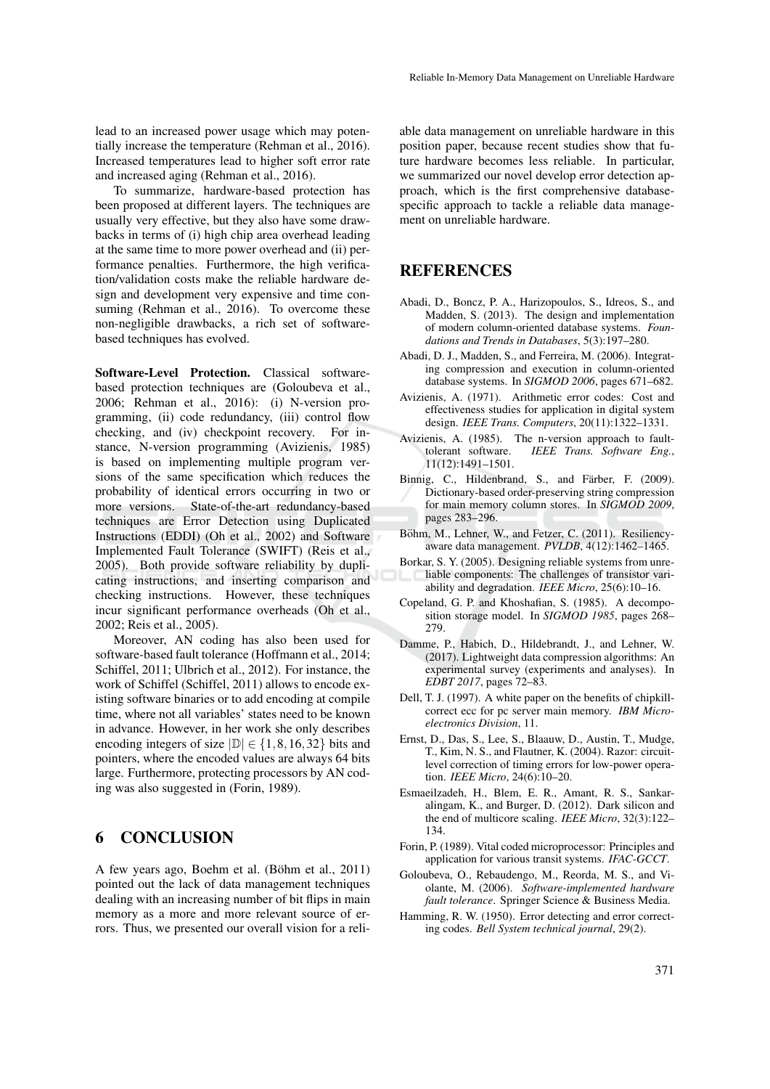lead to an increased power usage which may potentially increase the temperature (Rehman et al., 2016). Increased temperatures lead to higher soft error rate and increased aging (Rehman et al., 2016).

To summarize, hardware-based protection has been proposed at different layers. The techniques are usually very effective, but they also have some drawbacks in terms of (i) high chip area overhead leading at the same time to more power overhead and (ii) performance penalties. Furthermore, the high verification/validation costs make the reliable hardware design and development very expensive and time consuming (Rehman et al., 2016). To overcome these non-negligible drawbacks, a rich set of softwarebased techniques has evolved.

Software-Level Protection. Classical softwarebased protection techniques are (Goloubeva et al., 2006; Rehman et al., 2016): (i) N-version programming, (ii) code redundancy, (iii) control flow checking, and (iv) checkpoint recovery. For instance, N-version programming (Avizienis, 1985) is based on implementing multiple program versions of the same specification which reduces the probability of identical errors occurring in two or more versions. State-of-the-art redundancy-based techniques are Error Detection using Duplicated Instructions (EDDI) (Oh et al., 2002) and Software Implemented Fault Tolerance (SWIFT) (Reis et al., 2005). Both provide software reliability by duplicating instructions, and inserting comparison and checking instructions. However, these techniques incur significant performance overheads (Oh et al., 2002; Reis et al., 2005).

Moreover, AN coding has also been used for software-based fault tolerance (Hoffmann et al., 2014; Schiffel, 2011; Ulbrich et al., 2012). For instance, the work of Schiffel (Schiffel, 2011) allows to encode existing software binaries or to add encoding at compile time, where not all variables' states need to be known in advance. However, in her work she only describes encoding integers of size  $|\mathbb{D}| \in \{1, 8, 16, 32\}$  bits and pointers, where the encoded values are always 64 bits large. Furthermore, protecting processors by AN coding was also suggested in (Forin, 1989).

# 6 CONCLUSION

A few years ago, Boehm et al. (Böhm et al., 2011) pointed out the lack of data management techniques dealing with an increasing number of bit flips in main memory as a more and more relevant source of errors. Thus, we presented our overall vision for a reli-

able data management on unreliable hardware in this position paper, because recent studies show that future hardware becomes less reliable. In particular, we summarized our novel develop error detection approach, which is the first comprehensive databasespecific approach to tackle a reliable data management on unreliable hardware.

# REFERENCES

- Abadi, D., Boncz, P. A., Harizopoulos, S., Idreos, S., and Madden, S. (2013). The design and implementation of modern column-oriented database systems. *Foundations and Trends in Databases*, 5(3):197–280.
- Abadi, D. J., Madden, S., and Ferreira, M. (2006). Integrating compression and execution in column-oriented database systems. In *SIGMOD 2006*, pages 671–682.
- Avizienis, A. (1971). Arithmetic error codes: Cost and effectiveness studies for application in digital system design. *IEEE Trans. Computers*, 20(11):1322–1331.
- Avizienis, A. (1985). The n-version approach to fault-<br>tolerant software. IEEE Trans. Software Ene.. IEEE Trans. Software Eng., 11(12):1491–1501.
- Binnig, C., Hildenbrand, S., and Färber, F. (2009). Dictionary-based order-preserving string compression for main memory column stores. In *SIGMOD 2009*, pages 283–296.
- Böhm, M., Lehner, W., and Fetzer, C. (2011). Resiliencyaware data management. *PVLDB*, 4(12):1462–1465.
- Borkar, S. Y. (2005). Designing reliable systems from unreliable components: The challenges of transistor variability and degradation. *IEEE Micro*, 25(6):10–16.
- Copeland, G. P. and Khoshafian, S. (1985). A decomposition storage model. In *SIGMOD 1985*, pages 268– 279.
- Damme, P., Habich, D., Hildebrandt, J., and Lehner, W. (2017). Lightweight data compression algorithms: An experimental survey (experiments and analyses). In *EDBT 2017*, pages 72–83.
- Dell, T. J. (1997). A white paper on the benefits of chipkillcorrect ecc for pc server main memory. *IBM Microelectronics Division*, 11.
- Ernst, D., Das, S., Lee, S., Blaauw, D., Austin, T., Mudge, T., Kim, N. S., and Flautner, K. (2004). Razor: circuitlevel correction of timing errors for low-power operation. *IEEE Micro*, 24(6):10–20.
- Esmaeilzadeh, H., Blem, E. R., Amant, R. S., Sankaralingam, K., and Burger, D. (2012). Dark silicon and the end of multicore scaling. *IEEE Micro*, 32(3):122– 134.
- Forin, P. (1989). Vital coded microprocessor: Principles and application for various transit systems. *IFAC-GCCT*.
- Goloubeva, O., Rebaudengo, M., Reorda, M. S., and Violante, M. (2006). *Software-implemented hardware fault tolerance*. Springer Science & Business Media.
- Hamming, R. W. (1950). Error detecting and error correcting codes. *Bell System technical journal*, 29(2).